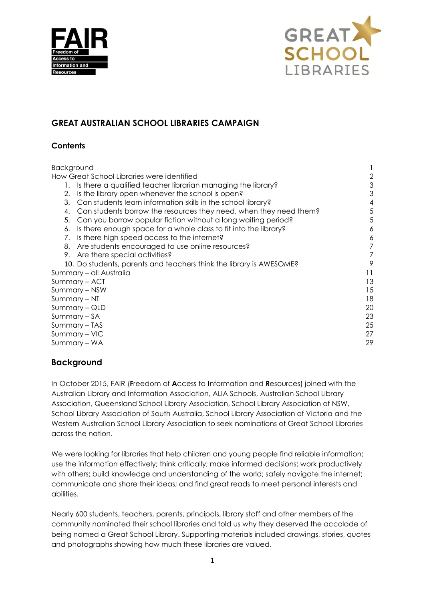



# **GREAT AUSTRALIAN SCHOOL LIBRARIES CAMPAIGN**

### **Contents**

| 2  |
|----|
| З  |
| З  |
| 4  |
| 5  |
| 5  |
| 6  |
| 6  |
|    |
| 7  |
| 9  |
| 11 |
| 13 |
| 15 |
| 18 |
| 20 |
| 23 |
| 25 |
| 27 |
| 29 |
|    |

# **Background**

In October 2015, FAIR (**F**reedom of **A**ccess to **I**nformation and **R**esources) joined with the Australian Library and Information Association, ALIA Schools, Australian School Library Association, Queensland School Library Association, School Library Association of NSW, School Library Association of South Australia, School Library Association of Victoria and the Western Australian School Library Association to seek nominations of Great School Libraries across the nation.

We were looking for libraries that help children and young people find reliable information; use the information effectively; think critically; make informed decisions; work productively with others; build knowledge and understanding of the world; safely navigate the internet; communicate and share their ideas; and find great reads to meet personal interests and abilities.

Nearly 600 students, teachers, parents, principals, library staff and other members of the community nominated their school libraries and told us why they deserved the accolade of being named a Great School Library. Supporting materials included drawings, stories, quotes and photographs showing how much these libraries are valued.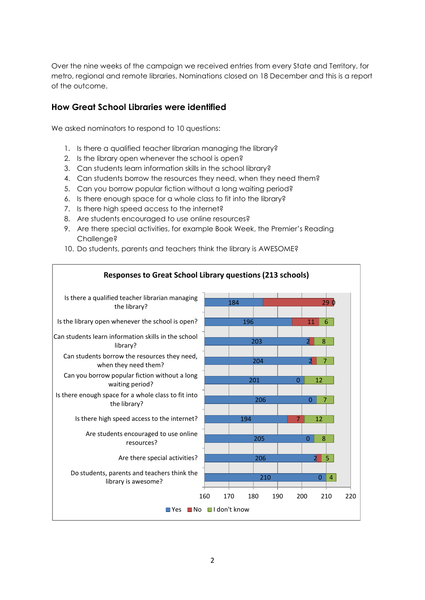Over the nine weeks of the campaign we received entries from every State and Territory, for metro, regional and remote libraries. Nominations closed on 18 December and this is a report of the outcome.

# **How Great School Libraries were identified**

We asked nominators to respond to 10 questions:

- 1. Is there a qualified teacher librarian managing the library?
- 2. Is the library open whenever the school is open?
- 3. Can students learn information skills in the school library?
- 4. Can students borrow the resources they need, when they need them?
- 5. Can you borrow popular fiction without a long waiting period?
- 6. Is there enough space for a whole class to fit into the library?
- 7. Is there high speed access to the internet?
- 8. Are students encouraged to use online resources?
- 9. Are there special activities, for example Book Week, the Premier's Reading Challenge?
- 10. Do students, parents and teachers think the library is AWESOME?

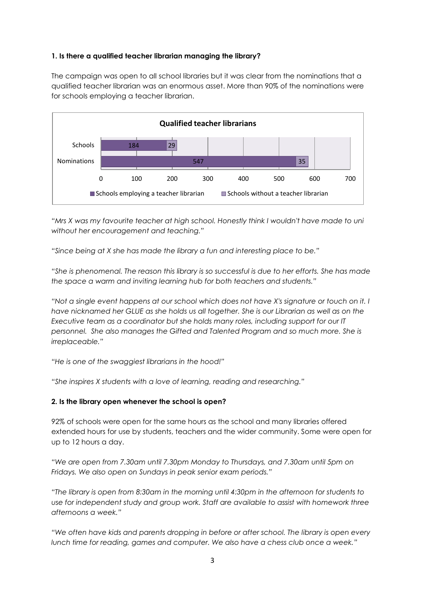#### **1. Is there a qualified teacher librarian managing the library?**

The campaign was open to all school libraries but it was clear from the nominations that a qualified teacher librarian was an enormous asset. More than 90% of the nominations were for schools employing a teacher librarian.



*"Mrs X was my favourite teacher at high school. Honestly think I wouldn't have made to uni without her encouragement and teaching."*

*"Since being at X she has made the library a fun and interesting place to be."*

*"She is phenomenal. The reason this library is so successful is due to her efforts. She has made the space a warm and inviting learning hub for both teachers and students."*

*"Not a single event happens at our school which does not have X's signature or touch on it. I have nicknamed her GLUE as she holds us all together. She is our Librarian as well as on the Executive team as a coordinator but she holds many roles, including support for our IT*  personnel. She also manages the Gifted and Talented Program and so much more. She is *irreplaceable."*

*"He is one of the swaggiest librarians in the hood!"*

*"She inspires X students with a love of learning, reading and researching."*

#### **2. Is the library open whenever the school is open?**

92% of schools were open for the same hours as the school and many libraries offered extended hours for use by students, teachers and the wider community. Some were open for up to 12 hours a day.

*"We are open from 7.30am until 7.30pm Monday to Thursdays, and 7.30am until 5pm on Fridays. We also open on Sundays in peak senior exam periods."*

*"The library is open from 8:30am in the morning until 4:30pm in the afternoon for students to use for independent study and group work. Staff are available to assist with homework three afternoons a week."*

*"We often have kids and parents dropping in before or after school. The library is open every lunch time for reading, games and computer. We also have a chess club once a week."*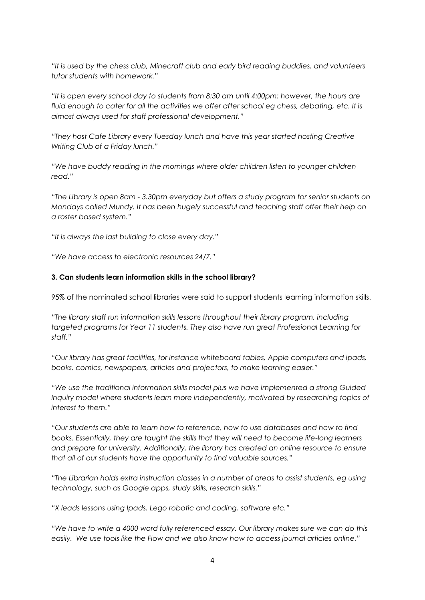*"It is used by the chess club, Minecraft club and early bird reading buddies, and volunteers tutor students with homework."*

*"It is open every school day to students from 8:30 am until 4:00pm; however, the hours are fluid enough to cater for all the activities we offer after school eg chess, debating, etc. It is almost always used for staff professional development."*

*"They host Cafe Library every Tuesday lunch and have this year started hosting Creative Writing Club of a Friday lunch."*

*"We have buddy reading in the mornings where older children listen to younger children read."*

*"The Library is open 8am - 3.30pm everyday but offers a study program for senior students on Mondays called Mundy. It has been hugely successful and teaching staff offer their help on a roster based system."*

*"It is always the last building to close every day."*

*"We have access to electronic resources 24/7."*

#### **3. Can students learn information skills in the school library?**

95% of the nominated school libraries were said to support students learning information skills.

*"The library staff run information skills lessons throughout their library program, including targeted programs for Year 11 students. They also have run great Professional Learning for staff."*

*"Our library has great facilities, for instance whiteboard tables, Apple computers and ipads, books, comics, newspapers, articles and projectors, to make learning easier."*

*"We use the traditional information skills model plus we have implemented a strong Guided Inquiry model where students learn more independently, motivated by researching topics of interest to them."*

*"Our students are able to learn how to reference, how to use databases and how to find books. Essentially, they are taught the skills that they will need to become life-long learners and prepare for university. Additionally, the library has created an online resource to ensure that all of our students have the opportunity to find valuable sources."*

*"The Librarian holds extra instruction classes in a number of areas to assist students, eg using technology, such as Google apps, study skills, research skills."*

*"X leads lessons using Ipads, Lego robotic and coding, software etc."*

*"We have to write a 4000 word fully referenced essay. Our library makes sure we can do this easily. We use tools like the Flow and we also know how to access journal articles online."*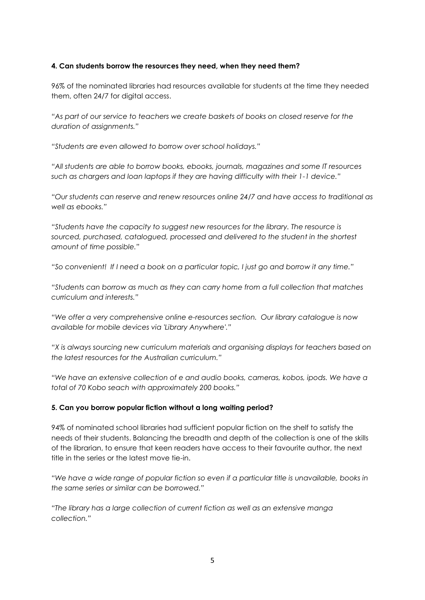#### **4. Can students borrow the resources they need, when they need them?**

96% of the nominated libraries had resources available for students at the time they needed them, often 24/7 for digital access.

*"As part of our service to teachers we create baskets of books on closed reserve for the duration of assignments."*

*"Students are even allowed to borrow over school holidays."*

*"All students are able to borrow books, ebooks, journals, magazines and some IT resources such as chargers and loan laptops if they are having difficulty with their 1-1 device."*

*"Our students can reserve and renew resources online 24/7 and have access to traditional as well as ebooks."*

*"Students have the capacity to suggest new resources for the library. The resource is sourced, purchased, catalogued, processed and delivered to the student in the shortest amount of time possible."*

*"So convenient! If I need a book on a particular topic, I just go and borrow it any time."*

*"Students can borrow as much as they can carry home from a full collection that matches curriculum and interests."*

*"We offer a very comprehensive online e-resources section. Our library catalogue is now available for mobile devices via 'Library Anywhere'."*

*"X is always sourcing new curriculum materials and organising displays for teachers based on the latest resources for the Australian curriculum."*

*"We have an extensive collection of e and audio books, cameras, kobos, ipods. We have a total of 70 Kobo seach with approximately 200 books."*

#### **5. Can you borrow popular fiction without a long waiting period?**

94% of nominated school libraries had sufficient popular fiction on the shelf to satisfy the needs of their students. Balancing the breadth and depth of the collection is one of the skills of the librarian, to ensure that keen readers have access to their favourite author, the next title in the series or the latest move tie-in.

*"We have a wide range of popular fiction so even if a particular title is unavailable, books in the same series or similar can be borrowed."*

*"The library has a large collection of current fiction as well as an extensive manga collection."*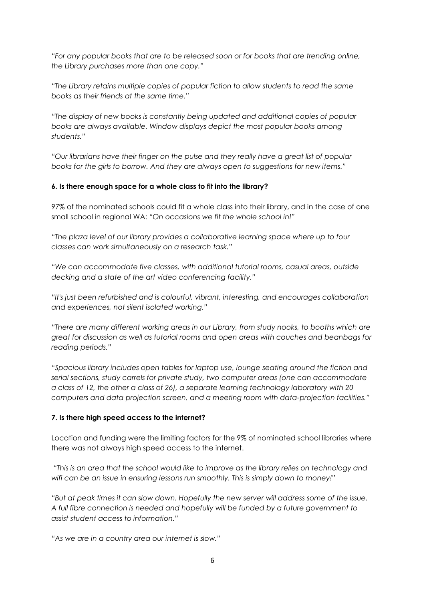*"For any popular books that are to be released soon or for books that are trending online, the Library purchases more than one copy."*

*"The Library retains multiple copies of popular fiction to allow students to read the same books as their friends at the same time."*

*"The display of new books is constantly being updated and additional copies of popular books are always available. Window displays depict the most popular books among students."*

*"Our librarians have their finger on the pulse and they really have a great list of popular books for the girls to borrow. And they are always open to suggestions for new items."*

#### **6. Is there enough space for a whole class to fit into the library?**

97% of the nominated schools could fit a whole class into their library, and in the case of one small school in regional WA: *"On occasions we fit the whole school in!"*

*"The plaza level of our library provides a collaborative learning space where up to four classes can work simultaneously on a research task."*

*"We can accommodate five classes, with additional tutorial rooms, casual areas, outside decking and a state of the art video conferencing facility."*

*"It's just been refurbished and is colourful, vibrant, interesting, and encourages collaboration and experiences, not silent isolated working."*

*"There are many different working areas in our Library, from study nooks, to booths which are great for discussion as well as tutorial rooms and open areas with couches and beanbags for reading periods."*

*"Spacious library includes open tables for laptop use, lounge seating around the fiction and serial sections, study carrels for private study, two computer areas (one can accommodate a class of 12, the other a class of 26), a separate learning technology laboratory with 20 computers and data projection screen, and a meeting room with data-projection facilities."*

#### **7. Is there high speed access to the internet?**

Location and funding were the limiting factors for the 9% of nominated school libraries where there was not always high speed access to the internet.

*"This is an area that the school would like to improve as the library relies on technology and wifi can be an issue in ensuring lessons run smoothly. This is simply down to money!"*

*"But at peak times it can slow down. Hopefully the new server will address some of the issue. A full fibre connection is needed and hopefully will be funded by a future government to assist student access to information."*

*"As we are in a country area our internet is slow."*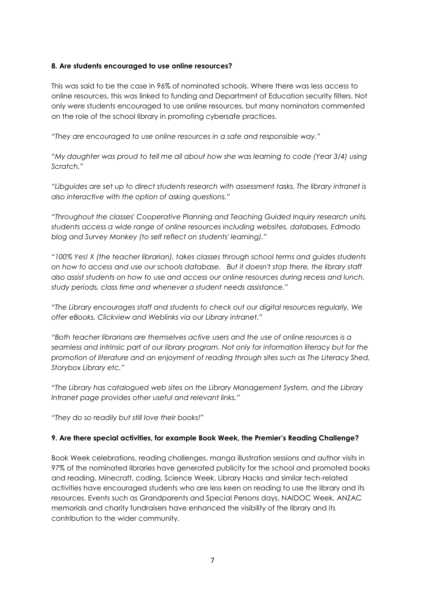#### **8. Are students encouraged to use online resources?**

This was said to be the case in 96% of nominated schools. Where there was less access to online resources, this was linked to funding and Department of Education security filters. Not only were students encouraged to use online resources, but many nominators commented on the role of the school library in promoting cybersafe practices.

*"They are encouraged to use online resources in a safe and responsible way."*

*"My daughter was proud to tell me all about how she was learning to code (Year 3/4) using Scratch."*

*"Libguides are set up to direct students research with assessment tasks. The library intranet is also interactive with the option of asking questions."*

*"Throughout the classes' Cooperative Planning and Teaching Guided Inquiry research units, students access a wide range of online resources including websites, databases, Edmodo blog and Survey Monkey (to self reflect on students' learning)."*

*"100% Yes! X (the teacher librarian), takes classes through school terms and guides students on how to access and use our schools database. But it doesn't stop there, the library staff also assist students on how to use and access our online resources during recess and lunch, study periods, class time and whenever a student needs assistance."*

*"The Library encourages staff and students to check out our digital resources regularly. We offer eBooks, Clickview and Weblinks via our Library intranet."*

*"Both teacher librarians are themselves active users and the use of online resources is a seamless and intrinsic part of our library program. Not only for information literacy but for the promotion of literature and an enjoyment of reading through sites such as The Literacy Shed, Storybox Library etc."*

*"The Library has catalogued web sites on the Library Management System, and the Library Intranet page provides other useful and relevant links."*

*"They do so readily but still love their books!"*

#### **9. Are there special activities, for example Book Week, the Premier's Reading Challenge?**

Book Week celebrations, reading challenges, manga illustration sessions and author visits in 97% of the nominated libraries have generated publicity for the school and promoted books and reading. Minecraft, coding, Science Week, Library Hacks and similar tech-related activities have encouraged students who are less keen on reading to use the library and its resources. Events such as Grandparents and Special Persons days, NAIDOC Week, ANZAC memorials and charity fundraisers have enhanced the visibility of the library and its contribution to the wider community.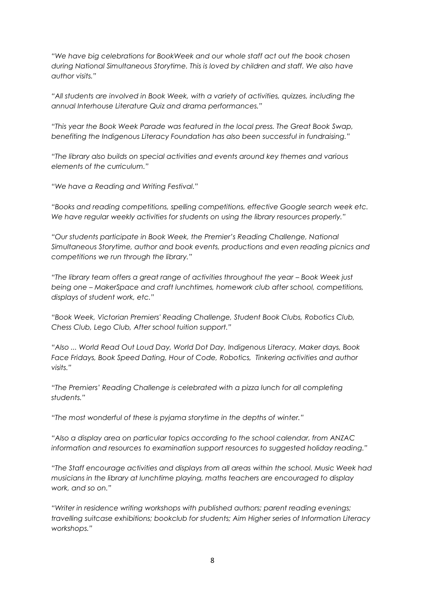*"We have big celebrations for BookWeek and our whole staff act out the book chosen during National Simultaneous Storytime. This is loved by children and staff. We also have author visits."*

*"All students are involved in Book Week, with a variety of activities, quizzes, including the annual Interhouse Literature Quiz and drama performances."*

*"This year the Book Week Parade was featured in the local press. The Great Book Swap, benefiting the Indigenous Literacy Foundation has also been successful in fundraising."*

*"The library also builds on special activities and events around key themes and various elements of the curriculum."*

*"We have a Reading and Writing Festival."*

*"Books and reading competitions, spelling competitions, effective Google search week etc. We have regular weekly activities for students on using the library resources properly."*

*"Our students participate in Book Week, the Premier's Reading Challenge, National Simultaneous Storytime, author and book events, productions and even reading picnics and competitions we run through the library."*

*"The library team offers a great range of activities throughout the year – Book Week just being one – MakerSpace and craft lunchtimes, homework club after school, competitions, displays of student work, etc."*

*"Book Week, Victorian Premiers' Reading Challenge, Student Book Clubs, Robotics Club, Chess Club, Lego Club, After school tuition support."*

*"Also ... World Read Out Loud Day, World Dot Day, Indigenous Literacy, Maker days, Book Face Fridays, Book Speed Dating, Hour of Code, Robotics, Tinkering activities and author visits."*

*"The Premiers' Reading Challenge is celebrated with a pizza lunch for all completing students."*

*"The most wonderful of these is pyjama storytime in the depths of winter."*

*"Also a display area on particular topics according to the school calendar, from ANZAC information and resources to examination support resources to suggested holiday reading."*

*"The Staff encourage activities and displays from all areas within the school. Music Week had musicians in the library at lunchtime playing, maths teachers are encouraged to display work, and so on."*

*"Writer in residence writing workshops with published authors; parent reading evenings; travelling suitcase exhibitions; bookclub for students; Aim Higher series of Information Literacy workshops."*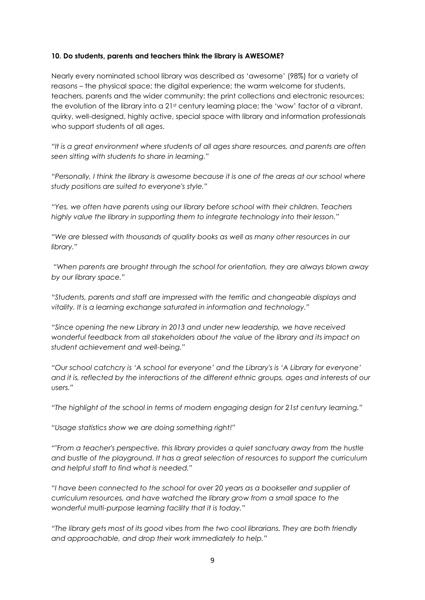#### **10. Do students, parents and teachers think the library is AWESOME?**

Nearly every nominated school library was described as 'awesome' (98%) for a variety of reasons – the physical space; the digital experience; the warm welcome for students, teachers, parents and the wider community; the print collections and electronic resources; the evolution of the library into a 21<sup>st</sup> century learning place; the 'wow' factor of a vibrant, quirky, well-designed, highly active, special space with library and information professionals who support students of all ages.

*"It is a great environment where students of all ages share resources, and parents are often seen sitting with students to share in learning."*

*"Personally, I think the library is awesome because it is one of the areas at our school where study positions are suited to everyone's style."*

*"Yes, we often have parents using our library before school with their children. Teachers highly value the library in supporting them to integrate technology into their lesson."*

*"We are blessed with thousands of quality books as well as many other resources in our library."*

*"When parents are brought through the school for orientation, they are always blown away by our library space."*

*"Students, parents and staff are impressed with the terrific and changeable displays and vitality. It is a learning exchange saturated in information and technology."*

*"Since opening the new Library in 2013 and under new leadership, we have received wonderful feedback from all stakeholders about the value of the library and its impact on student achievement and well-being."*

*"Our school catchcry is 'A school for everyone' and the Library's is 'A Library for everyone' and it is, reflected by the interactions of the different ethnic groups, ages and interests of our users."*

*"The highlight of the school in terms of modern engaging design for 21st century learning."*

*"Usage statistics show we are doing something right!"*

*""From a teacher's perspective, this library provides a quiet sanctuary away from the hustle and bustle of the playground. It has a great selection of resources to support the curriculum and helpful staff to find what is needed."*

*"I have been connected to the school for over 20 years as a bookseller and supplier of curriculum resources, and have watched the library grow from a small space to the wonderful multi-purpose learning facility that it is today."*

*"The library gets most of its good vibes from the two cool librarians. They are both friendly and approachable, and drop their work immediately to help."*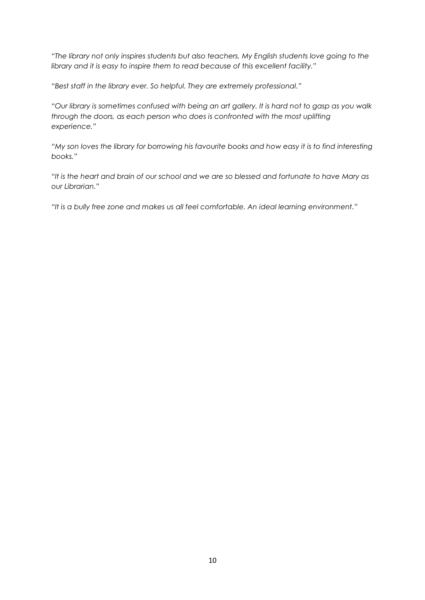*"The library not only inspires students but also teachers. My English students love going to the library and it is easy to inspire them to read because of this excellent facility."*

*"Best staff in the library ever. So helpful. They are extremely professional."*

*"Our library is sometimes confused with being an art gallery. It is hard not to gasp as you walk through the doors, as each person who does is confronted with the most uplifting experience."*

*"My son loves the library for borrowing his favourite books and how easy it is to find interesting books."*

*"It is the heart and brain of our school and we are so blessed and fortunate to have Mary as our Librarian."*

*"It is a bully free zone and makes us all feel comfortable. An ideal learning environment."*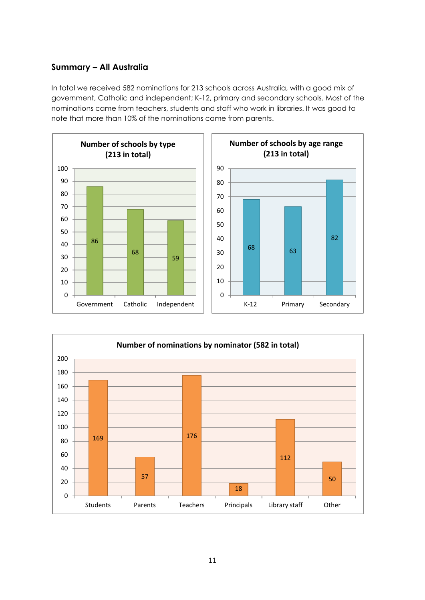# **Summary – All Australia**

In total we received 582 nominations for 213 schools across Australia, with a good mix of government, Catholic and independent; K-12, primary and secondary schools. Most of the nominations came from teachers, students and staff who work in libraries. It was good to note that more than 10% of the nominations came from parents.



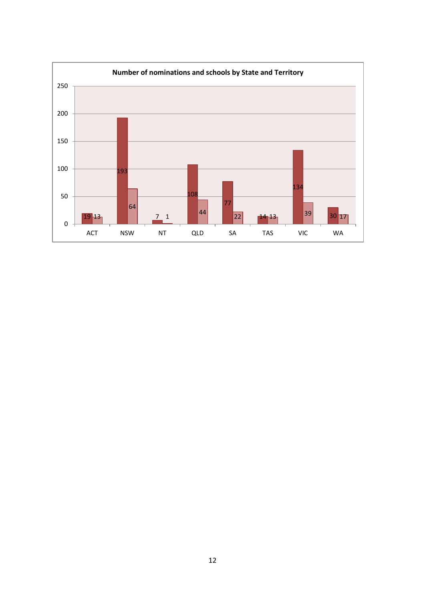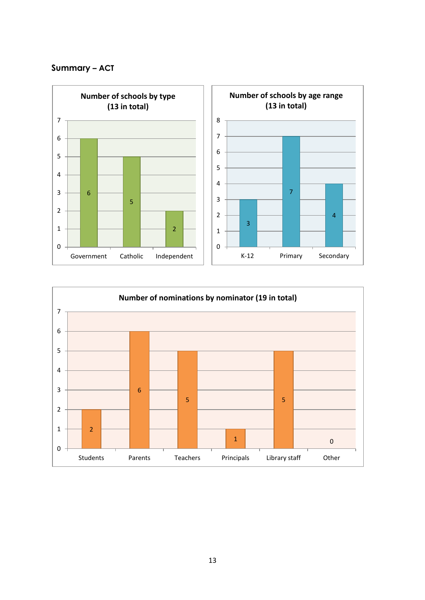# **Summary – ACT**



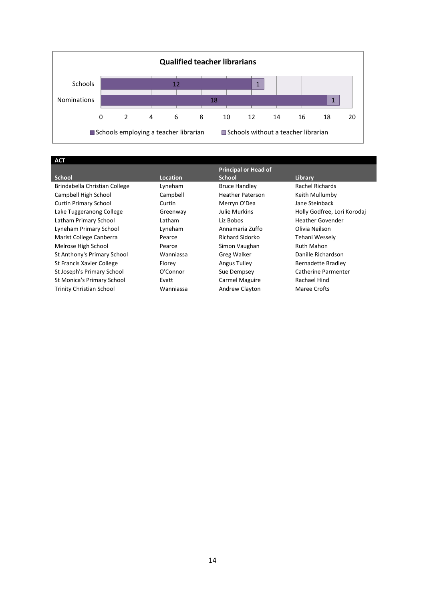

| <b>ACT</b>                      |           |                             |                             |
|---------------------------------|-----------|-----------------------------|-----------------------------|
|                                 |           | <b>Principal or Head of</b> |                             |
| <b>School</b>                   | Location  | <b>School</b>               | Library                     |
| Brindabella Christian College   | Lyneham   | <b>Bruce Handley</b>        | Rachel Richards             |
| Campbell High School            | Campbell  | <b>Heather Paterson</b>     | Keith Mullumby              |
| <b>Curtin Primary School</b>    | Curtin    | Merryn O'Dea                | Jane Steinback              |
| Lake Tuggeranong College        | Greenway  | Julie Murkins               | Holly Godfree, Lori Korodaj |
| Latham Primary School           | Latham    | Liz Bobos                   | <b>Heather Govender</b>     |
| Lyneham Primary School          | Lyneham   | Annamaria Zuffo             | Olivia Neilson              |
| Marist College Canberra         | Pearce    | Richard Sidorko             | Tehani Wessely              |
| Melrose High School             | Pearce    | Simon Vaughan               | Ruth Mahon                  |
| St Anthony's Primary School     | Wanniassa | <b>Greg Walker</b>          | Danille Richardson          |
| St Francis Xavier College       | Florey    | Angus Tulley                | Bernadette Bradley          |
| St Joseph's Primary School      | O'Connor  | Sue Dempsey                 | Catherine Parmenter         |
| St Monica's Primary School      | Evatt     | Carmel Maguire              | Rachael Hind                |
| <b>Trinity Christian School</b> | Wanniassa | Andrew Clayton              | Maree Crofts                |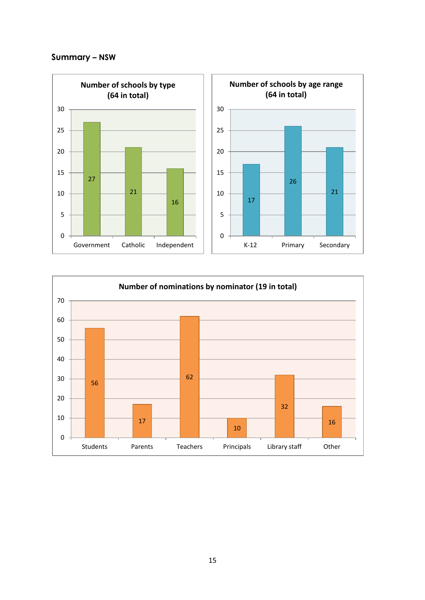# **Summary – NSW**



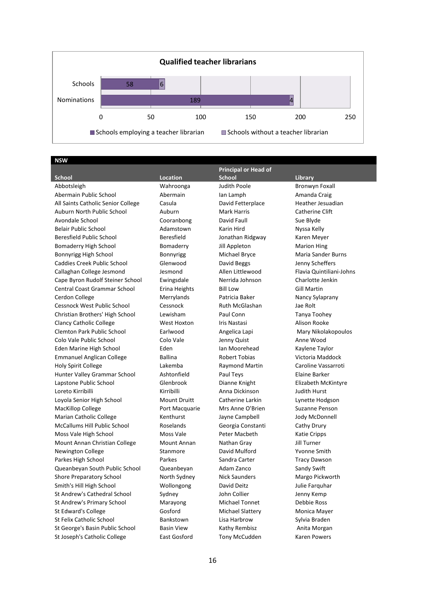

**NSW**

|                                     |                     | <b>Principal or Head of</b> |                          |
|-------------------------------------|---------------------|-----------------------------|--------------------------|
| <b>School</b>                       | <b>Location</b>     | <b>School</b>               | Library                  |
| Abbotsleigh                         | Wahroonga           | Judith Poole                | <b>Bronwyn Foxall</b>    |
| Abermain Public School              | Abermain            | lan Lamph                   | Amanda Craig             |
| All Saints Catholic Senior College  | Casula              | David Fetterplace           | Heather Jesuadian        |
| Auburn North Public School          | Auburn              | <b>Mark Harris</b>          | Catherine Clift          |
| Avondale School                     | Cooranbong          | David Faull                 | Sue Blyde                |
| <b>Belair Public School</b>         | Adamstown           | Karin Hird                  | Nyssa Kelly              |
| Beresfield Public School            | Beresfield          | Jonathan Ridgway            | Karen Meyer              |
| Bomaderry High School               | Bomaderry           | Jill Appleton               | <b>Marion Hing</b>       |
| Bonnyrigg High School               | Bonnyrigg           | Michael Bryce               | Maria Sander Burns       |
| <b>Caddies Creek Public School</b>  | Glenwood            | David Beggs                 | Jenny Scheffers          |
| Callaghan College Jesmond           | Jesmond             | Allen Littlewood            | Flavia Quintiliani-Johns |
| Cape Byron Rudolf Steiner School    | Ewingsdale          | Nerrida Johnson             | Charlotte Jenkin         |
| <b>Central Coast Grammar School</b> | Erina Heights       | <b>Bill Low</b>             | <b>Gill Martin</b>       |
| Cerdon College                      | Merrylands          | Patricia Baker              | Nancy Sylaprany          |
| Cessnock West Public School         | Cessnock            | <b>Ruth McGlashan</b>       | Jae Rolt                 |
| Christian Brothers' High School     | Lewisham            | Paul Conn                   | Tanya Toohey             |
| <b>Clancy Catholic College</b>      | West Hoxton         | Iris Nastasi                | Alison Rooke             |
| <b>Clemton Park Public School</b>   | Earlwood            | Angelica Lapi               | Mary Nikolakopoulos      |
| Colo Vale Public School             | Colo Vale           | Jenny Quist                 | Anne Wood                |
| Eden Marine High School             | Eden                | Ian Moorehead               | Kaylene Taylor           |
| <b>Emmanuel Anglican College</b>    | <b>Ballina</b>      | <b>Robert Tobias</b>        | Victoria Maddock         |
| Holy Spirit College                 | Lakemba             | <b>Raymond Martin</b>       | Caroline Vassarroti      |
| Hunter Valley Grammar School        | Ashtonfield         | Paul Teys                   | Elaine Barker            |
| Lapstone Public School              | Glenbrook           | Dianne Knight               | Elizabeth McKintyre      |
| Loreto Kirribilli                   | Kirribilli          | Anna Dickinson              | <b>Judith Hurst</b>      |
| Loyola Senior High School           | <b>Mount Druitt</b> | Catherine Larkin            | Lynette Hodgson          |
| MacKillop College                   | Port Macquarie      | Mrs Anne O'Brien            | Suzanne Penson           |
| <b>Marian Catholic College</b>      | Kenthurst           | Jayne Campbell              | Jody McDonnell           |
| <b>McCallums Hill Public School</b> | Roselands           | Georgia Constanti           | Cathy Drury              |
| Moss Vale High School               | Moss Vale           | Peter Macbeth               | <b>Katie Cripps</b>      |
| Mount Annan Christian College       | Mount Annan         | Nathan Gray                 | Jill Turner              |
| <b>Newington College</b>            | Stanmore            | David Mulford               | Yvonne Smith             |
| Parkes High School                  | Parkes              | Sandra Carter               | <b>Tracy Dawson</b>      |
| Queanbeyan South Public School      | Queanbeyan          | Adam Zanco                  | Sandy Swift              |
| <b>Shore Preparatory School</b>     | North Sydney        | <b>Nick Saunders</b>        | Margo Pickworth          |
| Smith's Hill High School            | Wollongong          | David Deitz                 | Julie Farguhar           |
| St Andrew's Cathedral School        | Sydney              | John Collier                | Jenny Kemp               |
| St Andrew's Primary School          | Marayong            | <b>Michael Tonnet</b>       | Debbie Ross              |
| St Edward's College                 | Gosford             | Michael Slattery            | Monica Mayer             |
| St Felix Catholic School            | Bankstown           | Lisa Harbrow                | Sylvia Braden            |
| St George's Basin Public School     | <b>Basin View</b>   | Kathy Rembisz               | Anita Morgan             |

St Joseph's Catholic College East Gosford Tony McCudden Karen Powers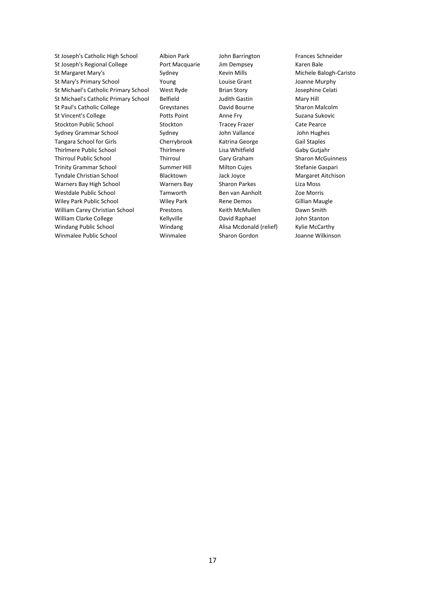St Joseph's Catholic High School Albion Park John Barrington Frances Schneider St Joseph's Regional College Port Macquarie Jim Dempsey Karen Bale St Margaret Mary's Sydney Sydney Kevin Mills Michele Balogh-Caristo St Mary's Primary School **Young** Louise Grant Louise Grant Joanne Murphy St Michael's Catholic Primary School West Ryde Brian Story Josephine Celati St Michael's Catholic Primary School Belfield Judith Gastin Mary Hill St Paul's Catholic College Greystanes David Bourne Sharon Malcolm St Vincent's College **Potts Point** Potts Point Anne Fry Suzana Sukovic Stockton Public School Stockton Tracey Frazer Cate Pearce Sydney Grammar School Sydney John Vallance John Hughes Tangara School for Girls Cherrybrook Katrina George Gail Staples Thirlmere Public School Thirlmere Lisa Whitfield Gaby Gutjahr Thirroul Public School **Thirroul Cary Graham** Sharon McGuinness Trinity Grammar School Summer Hill Milton Cujes Stefanie Gaspari Tyndale Christian School Blacktown Jack Joyce Margaret Aitchison Warners Bay High School **Warners Bay** Sharon Parkes Liza Moss Westdale Public School Tamworth Ben van Aanholt Zoe Morris Wiley Park Public School **Wiley Park Rene Demos** Gillian Maugle William Carey Christian School Prestons Keith McMullen Dawn Smith William Clarke College **Kellyville** David Raphael John Stanton Windang Public School **Windang McCarthy** Alisa Mcdonald (relief) Kylie McCarthy Winmalee Public School Winmalee Sharon Gordon Joanne Wilkinson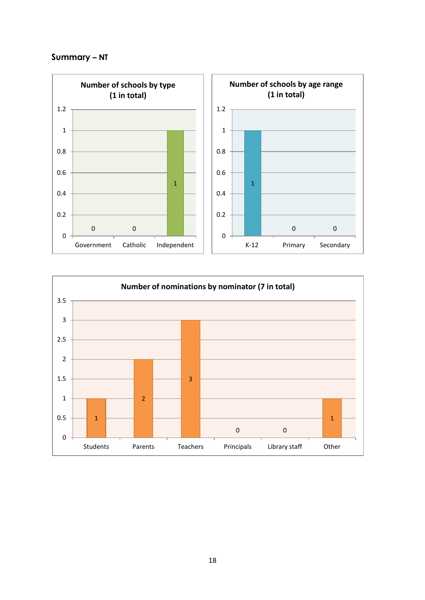# **Summary – NT**



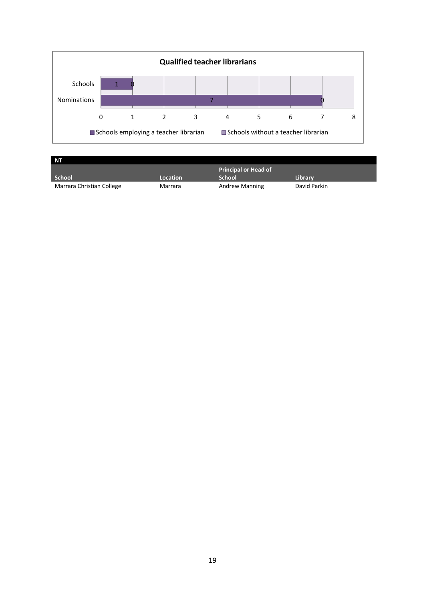

| 'NΤ    |          |                             |         |
|--------|----------|-----------------------------|---------|
|        |          | <b>Principal or Head of</b> |         |
|        |          |                             |         |
| School | Location | <b>School</b>               | Library |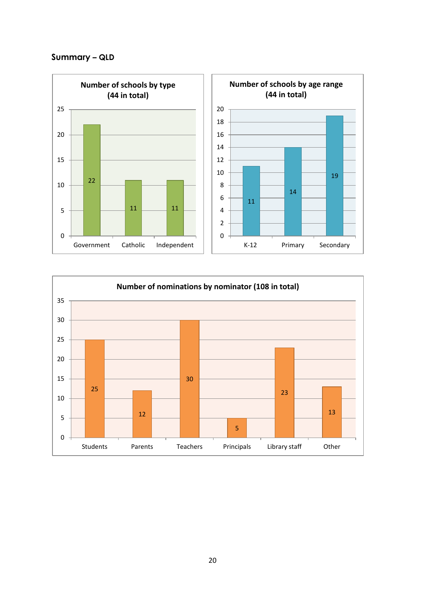# **Summary – QLD**



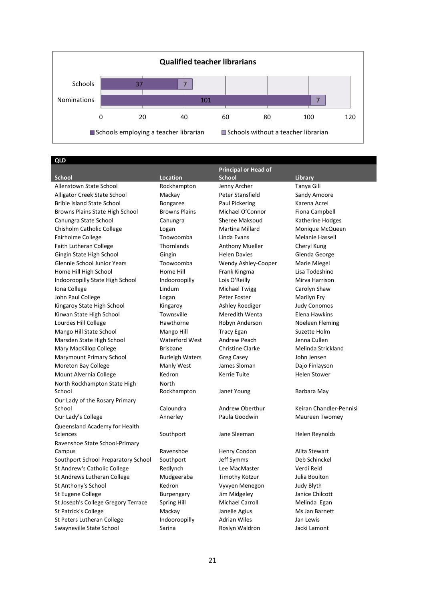

**QLD**

|                                     |                        | <b>Principal or Head of</b> |                         |
|-------------------------------------|------------------------|-----------------------------|-------------------------|
| <b>School</b>                       | <b>Location</b>        | <b>School</b>               | Library                 |
| Allenstown State School             | Rockhampton            | Jenny Archer                | Tanya Gill              |
| Alligator Creek State School        | Mackay                 | Peter Stansfield            | Sandy Amoore            |
| <b>Bribie Island State School</b>   | Bongaree               | Paul Pickering              | Karena Aczel            |
| Browns Plains State High School     | <b>Browns Plains</b>   | Michael O'Connor            | Fiona Campbell          |
| Canungra State School               | Canungra               | Sheree Maksoud              | Katherine Hodges        |
| Chisholm Catholic College           | Logan                  | Martina Millard             | Monique McQueen         |
| <b>Fairholme College</b>            | Toowoomba              | Linda Evans                 | Melanie Hassell         |
| <b>Faith Lutheran College</b>       | Thornlands             | <b>Anthony Mueller</b>      | Cheryl Kung             |
| Gingin State High School            | Gingin                 | <b>Helen Davies</b>         | Glenda George           |
| Glennie School Junior Years         | Toowoomba              | Wendy Ashley-Cooper         | Marie Miegel            |
| Home Hill High School               | Home Hill              | Frank Kingma                | Lisa Todeshino          |
| Indooroopilly State High School     | Indooroopilly          | Lois O'Reilly               | Mirva Harrison          |
| Iona College                        | Lindum                 | Michael Twigg               | Carolyn Shaw            |
| John Paul College                   | Logan                  | Peter Foster                | Marilyn Fry             |
| Kingaroy State High School          | Kingaroy               | Ashley Roediger             | <b>Judy Conomos</b>     |
| Kirwan State High School            | Townsville             | Meredith Wenta              | Elena Hawkins           |
| Lourdes Hill College                | Hawthorne              | Robyn Anderson              | Noeleen Fleming         |
| Mango Hill State School             | Mango Hill             | <b>Tracy Egan</b>           | Suzette Holm            |
| Marsden State High School           | <b>Waterford West</b>  | Andrew Peach                | Jenna Cullen            |
| Mary MacKillop College              | <b>Brisbane</b>        | <b>Christine Clarke</b>     | Melinda Strickland      |
| Marymount Primary School            | <b>Burleigh Waters</b> | Greg Casey                  | John Jensen             |
| Moreton Bay College                 | Manly West             | James Sloman                | Dajo Finlayson          |
| Mount Alvernia College              | Kedron                 | <b>Kerrie Tuite</b>         | <b>Helen Stower</b>     |
| North Rockhampton State High        | North                  |                             |                         |
| School                              | Rockhampton            | Janet Young                 | Barbara May             |
| Our Lady of the Rosary Primary      |                        |                             |                         |
| School                              | Caloundra              | Andrew Oberthur             | Keiran Chandler-Pennisi |
| Our Lady's College                  | Annerley               | Paula Goodwin               | Maureen Twomey          |
| Queensland Academy for Health       |                        |                             |                         |
| <b>Sciences</b>                     | Southport              | Jane Sleeman                | Helen Reynolds          |
| Ravenshoe State School-Primary      |                        |                             |                         |
| Campus                              | Ravenshoe              | Henry Condon                | Alita Stewart           |
| Southport School Preparatory School | Southport              | Jeff Symms                  | Deb Schinckel           |
| St Andrew's Catholic College        | Redlynch               | Lee MacMaster               | Verdi Reid              |
| St Andrews Lutheran College         | Mudgeeraba             | Timothy Kotzur              | Julia Boulton           |
| St Anthony's School                 | Kedron                 | Vyvyen Menegon              | Judy Blyth              |
| St Eugene College                   | <b>Burpengary</b>      | Jim Midgeley                | Janice Chilcott         |
| St Joseph's College Gregory Terrace | Spring Hill            | <b>Michael Carroll</b>      | Melinda Egan            |
| St Patrick's College                | Mackay                 | Janelle Agius               | Ms Jan Barnett          |
| St Peters Lutheran College          | Indooroopilly          | <b>Adrian Wiles</b>         | Jan Lewis               |
| Swayneville State School            | Sarina                 | Roslyn Waldron              | Jacki Lamont            |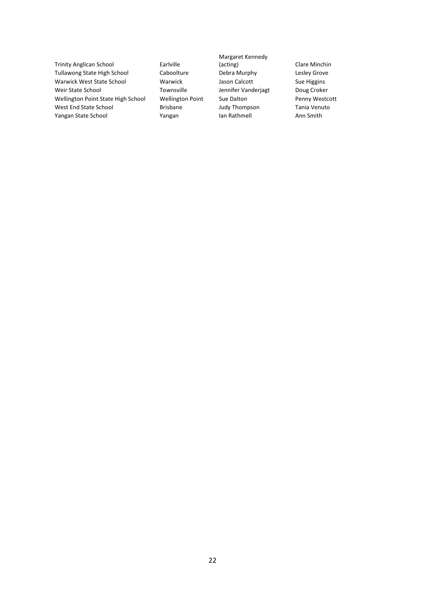Trinity Anglican School **Early** Earlyille Tullawong State High School **Caboolture** Debra Murphy **Lesley Grove** Warwick West State School **Warwick Marwick** Jason Calcott **Sue Higgins** Weir State School **Townsville** Jennifer Vanderjagt Doug Croker Wellington Point State High School Wellington Point Sue Dalton Penny Westcott West End State School **Brisbane** Brisbane Judy Thompson Tania Venuto Yangan State School **International Communist Communist Communist Communist Communist Communist Communist Communist Communist Communist Communist Communist Communist Communist Communist Communist Communist Communist Communi** 

Margaret Kennedy<br>(acting)

Clare Minchin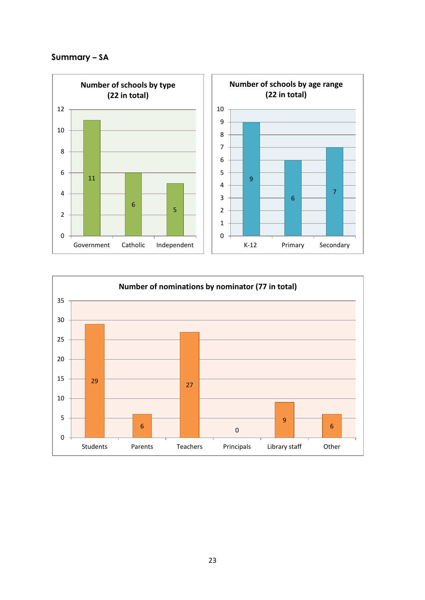# **Summary – SA**



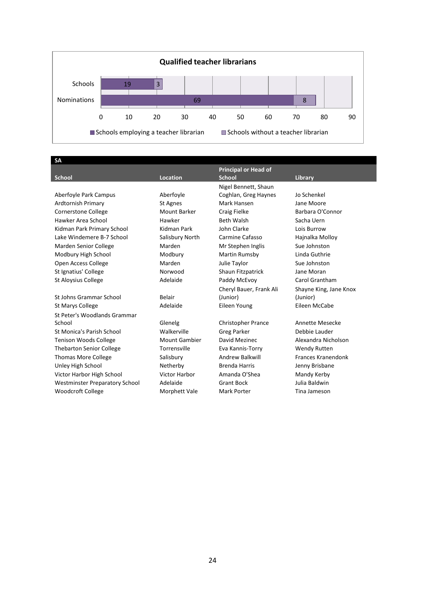

**SA**

|                                       |                      | <b>Principal or Head of</b> |                        |
|---------------------------------------|----------------------|-----------------------------|------------------------|
| <b>School</b>                         | <b>Location</b>      | <b>School</b>               | Library                |
|                                       |                      | Nigel Bennett, Shaun        |                        |
| Aberfoyle Park Campus                 | Aberfoyle            | Coghlan, Greg Haynes        | Jo Schenkel            |
| Ardtornish Primary                    | St Agnes             | Mark Hansen                 | Jane Moore             |
| <b>Cornerstone College</b>            | Mount Barker         | Craig Fielke                | Barbara O'Connor       |
| Hawker Area School                    | Hawker               | <b>Beth Walsh</b>           | Sacha Uern             |
| Kidman Park Primary School            | Kidman Park          | John Clarke                 | Lois Burrow            |
| Lake Windemere B-7 School             | Salisbury North      | Carmine Cafasso             | Hajnalka Molloy        |
| Marden Senior College                 | Marden               | Mr Stephen Inglis           | Sue Johnston           |
| Modbury High School                   | Modbury              | Martin Rumsby               | Linda Guthrie          |
| Open Access College                   | Marden               | Julie Taylor                | Sue Johnston           |
| St Ignatius' College                  | Norwood              | Shaun Fitzpatrick           | Jane Moran             |
| <b>St Aloysius College</b>            | Adelaide             | Paddy McEvoy                | Carol Grantham         |
|                                       |                      | Cheryl Bauer, Frank Ali     | Shayne King, Jane Knox |
| St Johns Grammar School               | Belair               | (Junior)                    | (Junior)               |
| St Marys College                      | Adelaide             | Eileen Young                | Eileen McCabe          |
| St Peter's Woodlands Grammar          |                      |                             |                        |
| School                                | Glenelg              | <b>Christopher Prance</b>   | Annette Mesecke        |
| <b>St Monica's Parish School</b>      | Walkerville          | <b>Greg Parker</b>          | Debbie Lauder          |
| <b>Tenison Woods College</b>          | <b>Mount Gambier</b> | David Mezinec               | Alexandra Nicholson    |
| <b>Thebarton Senior College</b>       | Torrensville         | Eva Kannis-Torry            | <b>Wendy Rutten</b>    |
| <b>Thomas More College</b>            | Salisbury            | <b>Andrew Balkwill</b>      | Frances Kranendonk     |
| Unley High School                     | Netherby             | <b>Brenda Harris</b>        | Jenny Brisbane         |
| Victor Harbor High School             | <b>Victor Harbor</b> | Amanda O'Shea               | Mandy Kerby            |
| <b>Westminster Preparatory School</b> | Adelaide             | <b>Grant Bock</b>           | Julia Baldwin          |
| <b>Woodcroft College</b>              | Morphett Vale        | <b>Mark Porter</b>          | Tina Jameson           |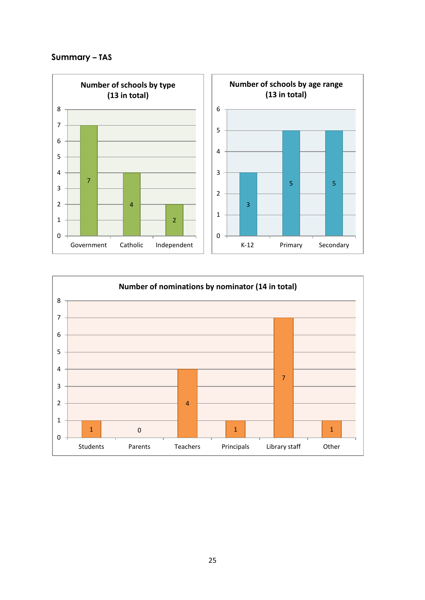# **Summary – TAS**



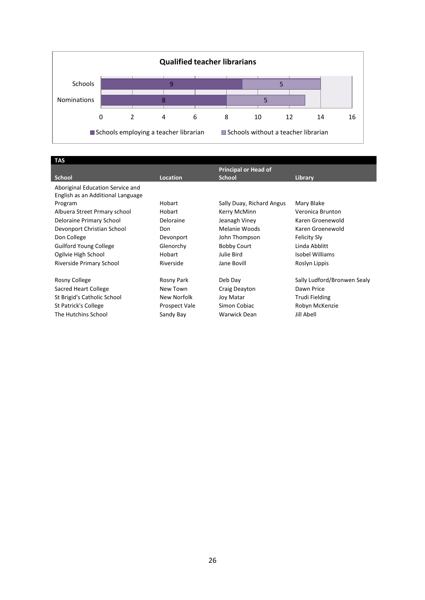

| TAS                               |                 |                             |                             |
|-----------------------------------|-----------------|-----------------------------|-----------------------------|
|                                   |                 | <b>Principal or Head of</b> |                             |
| <b>School</b>                     | <b>Location</b> | <b>School</b>               | Library                     |
| Aboriginal Education Service and  |                 |                             |                             |
| English as an Additional Language |                 |                             |                             |
| Program                           | <b>Hobart</b>   | Sally Duay, Richard Angus   | Mary Blake                  |
| Albuera Street Prmary school      | <b>Hobart</b>   | Kerry McMinn                | Veronica Brunton            |
| Deloraine Primary School          | Deloraine       | Jeanagh Viney               | Karen Groenewold            |
| Devonport Christian School        | Don             | Melanie Woods               | Karen Groenewold            |
| Don College                       | Devonport       | John Thompson               | Felicity Sly                |
| <b>Guilford Young College</b>     | Glenorchy       | <b>Bobby Court</b>          | Linda Abblitt               |
| Ogilvie High School               | <b>Hobart</b>   | Julie Bird                  | Isobel Williams             |
| Riverside Primary School          | Riverside       | Jane Bovill                 | Roslyn Lippis               |
|                                   |                 |                             |                             |
| Rosny College                     | Rosny Park      | Deb Day                     | Sally Ludford/Bronwen Sealy |
| Sacred Heart College              | New Town        | Craig Deayton               | Dawn Price                  |
| St Brigid's Catholic School       | New Norfolk     | Joy Matar                   | <b>Trudi Fielding</b>       |
| St Patrick's College              | Prospect Vale   | Simon Cobiac                | Robyn McKenzie              |
| The Hutchins School               | Sandy Bay       | Warwick Dean                | Jill Abell                  |
|                                   |                 |                             |                             |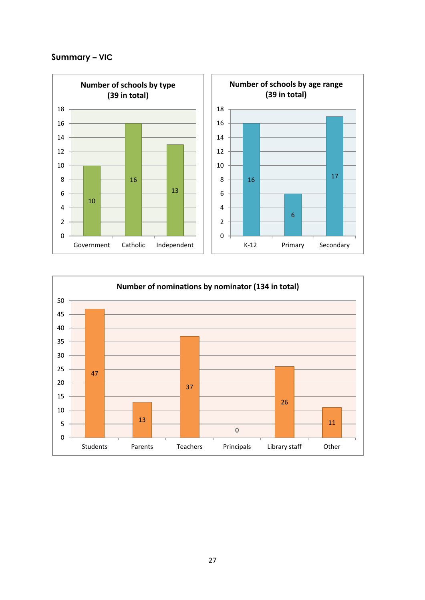# **Summary – VIC**



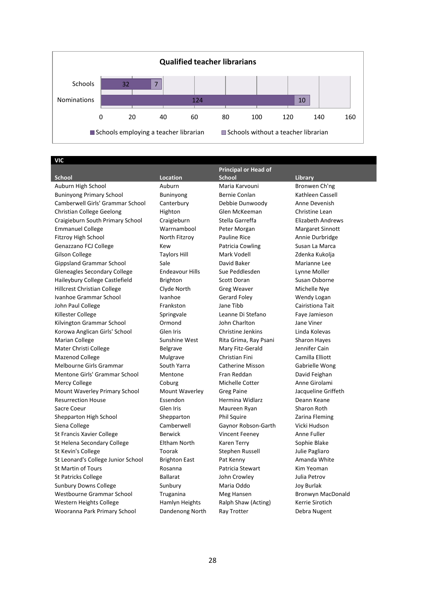

**VIC** 

|                                    |                        | <b>Principal or Head of</b> |                          |
|------------------------------------|------------------------|-----------------------------|--------------------------|
| <b>School</b>                      | <b>Location</b>        | <b>School</b>               | <b>Library</b>           |
| Auburn High School                 | Auburn                 | Maria Karvouni              | Bronwen Ch'ng            |
| <b>Buninyong Primary School</b>    | <b>Buninyong</b>       | Bernie Conlan               | Kathleen Cassell         |
| Camberwell Girls' Grammar School   | Canterbury             | Debbie Dunwoody             | Anne Devenish            |
| Christian College Geelong          | Highton                | Glen McKeeman               | Christine Lean           |
| Craigieburn South Primary School   | Craigieburn            | Stella Garreffa             | <b>Elizabeth Andrews</b> |
| <b>Emmanuel College</b>            | Warrnambool            | Peter Morgan                | <b>Margaret Sinnott</b>  |
| Fitzroy High School                | North Fitzroy          | <b>Pauline Rice</b>         | Annie Durbridge          |
| Genazzano FCJ College              | Kew                    | Patricia Cowling            | Susan La Marca           |
| <b>Gilson College</b>              | <b>Taylors Hill</b>    | Mark Vodell                 | Zdenka Kukolja           |
| <b>Gippsland Grammar School</b>    | Sale                   | David Baker                 | Marianne Lee             |
| Gleneagles Secondary College       | <b>Endeavour Hills</b> | Sue Peddlesden              | Lynne Moller             |
| Haileybury College Castlefield     | <b>Brighton</b>        | Scott Doran                 | Susan Osborne            |
| <b>Hillcrest Christian College</b> | Clyde North            | Greg Weaver                 | Michelle Nye             |
| Ivanhoe Grammar School             | Ivanhoe                | Gerard Foley                | Wendy Logan              |
| John Paul College                  | Frankston              | Jane Tibb                   | Cairistiona Tait         |
| Killester College                  | Springvale             | Leanne Di Stefano           | Faye Jamieson            |
| Kilvington Grammar School          | Ormond                 | John Charlton               | Jane Viner               |
| Korowa Anglican Girls' School      | Glen Iris              | Christine Jenkins           | Linda Kolevas            |
| Marian College                     | Sunshine West          | Rita Grima, Ray Psani       | <b>Sharon Hayes</b>      |
| Mater Christi College              | <b>Belgrave</b>        | Mary Fitz-Gerald            | Jennifer Cain            |
| Mazenod College                    | Mulgrave               | <b>Christian Fini</b>       | Camilla Elliott          |
| Melbourne Girls Grammar            | South Yarra            | <b>Catherine Misson</b>     | Gabrielle Wong           |
| Mentone Girls' Grammar School      | Mentone                | Fran Reddan                 | David Feighan            |
| Mercy College                      | Coburg                 | Michelle Cotter             | Anne Girolami            |
| Mount Waverley Primary School      | Mount Waverley         | <b>Greg Paine</b>           | Jacqueline Griffeth      |
| <b>Resurrection House</b>          | Essendon               | Hermina Widlarz             | Deann Keane              |
| Sacre Coeur                        | Glen Iris              | Maureen Ryan                | <b>Sharon Roth</b>       |
| Shepparton High School             | Shepparton             | <b>Phil Squire</b>          | Zarina Fleming           |
| Siena College                      | Camberwell             | Gaynor Robson-Garth         | Vicki Hudson             |
| St Francis Xavier College          | <b>Berwick</b>         | <b>Vincent Feeney</b>       | Anne Fuller              |
| St Helena Secondary College        | Eltham North           | <b>Karen Terry</b>          | Sophie Blake             |
| St Kevin's College                 | Toorak                 | Stephen Russell             | Julie Pagliaro           |
| St Leonard's College Junior School | <b>Brighton East</b>   | Pat Kenny                   | Amanda White             |
| St Martin of Tours                 | Rosanna                | Patricia Stewart            | Kim Yeoman               |
| <b>St Patricks College</b>         | <b>Ballarat</b>        | John Crowley                | Julia Petrov             |
| <b>Sunbury Downs College</b>       | Sunbury                | Maria Oddo                  | Joy Burlak               |
| Westbourne Grammar School          | Truganina              | Meg Hansen                  | Bronwyn MacDonald        |
| Western Heights College            | Hamlyn Heights         | Ralph Shaw (Acting)         | Kerrie Sirotich          |
| Wooranna Park Primary School       | Dandenong North        | Ray Trotter                 | Debra Nugent             |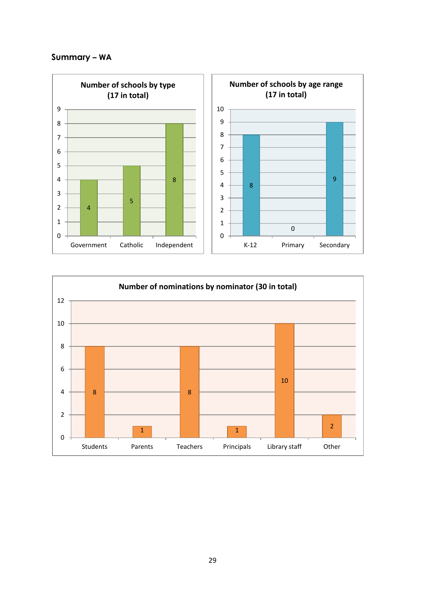# **Summary – WA**